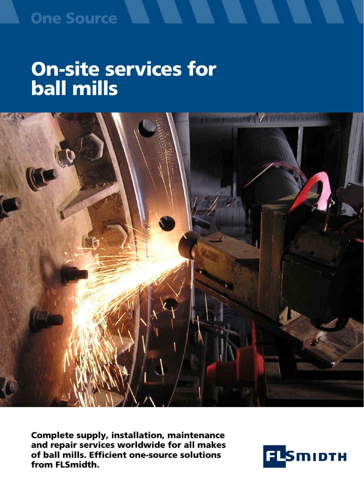# **One Source**

# On-site services for ball mills



Complete supply, installation, maintenance and repair services worldwide for all makes of ball mills. Efficient one-source solutions from FLSmidth.